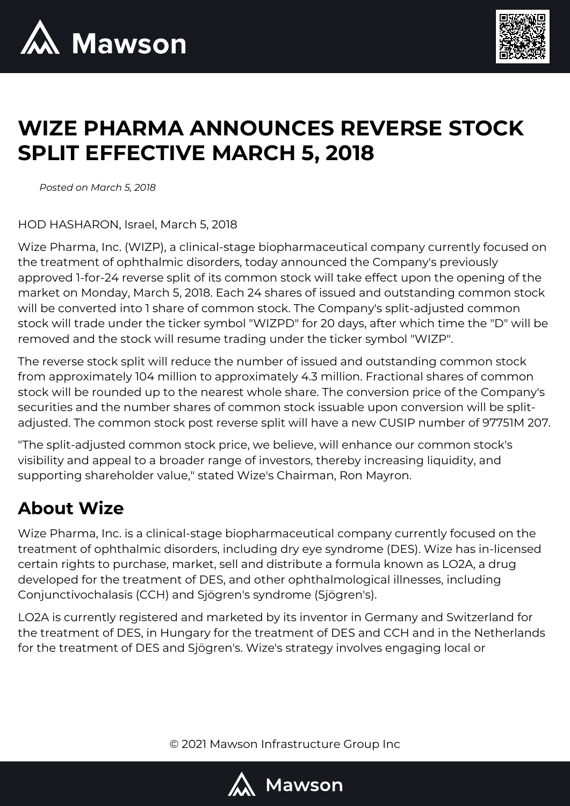



## **WIZE PHARMA ANNOUNCES REVERSE STOCK SPLIT EFFECTIVE MARCH 5, 2018**

*Posted on March 5, 2018*

HOD HASHARON, Israel, March 5, 2018

Wize Pharma, Inc. (WIZP), a clinical-stage biopharmaceutical company currently focused on the treatment of ophthalmic disorders, today announced the Company's previously approved 1-for-24 reverse split of its common stock will take effect upon the opening of the market on Monday, March 5, 2018. Each 24 shares of issued and outstanding common stock will be converted into 1 share of common stock. The Company's split-adjusted common stock will trade under the ticker symbol "WIZPD" for 20 days, after which time the "D" will be removed and the stock will resume trading under the ticker symbol "WIZP".

The reverse stock split will reduce the number of issued and outstanding common stock from approximately 104 million to approximately 4.3 million. Fractional shares of common stock will be rounded up to the nearest whole share. The conversion price of the Company's securities and the number shares of common stock issuable upon conversion will be splitadjusted. The common stock post reverse split will have a new CUSIP number of 97751M 207.

"The split-adjusted common stock price, we believe, will enhance our common stock's visibility and appeal to a broader range of investors, thereby increasing liquidity, and supporting shareholder value," stated Wize's Chairman, Ron Mayron.

## **About Wize**

Wize Pharma, Inc. is a clinical-stage biopharmaceutical company currently focused on the treatment of ophthalmic disorders, including dry eye syndrome (DES). Wize has in-licensed certain rights to purchase, market, sell and distribute a formula known as LO2A, a drug developed for the treatment of DES, and other ophthalmological illnesses, including Conjunctivochalasis (CCH) and Sjögren's syndrome (Sjögren's).

LO2A is currently registered and marketed by its inventor in Germany and Switzerland for the treatment of DES, in Hungary for the treatment of DES and CCH and in the Netherlands for the treatment of DES and Sjögren's. Wize's strategy involves engaging local or

© 2021 Mawson Infrastructure Group Inc

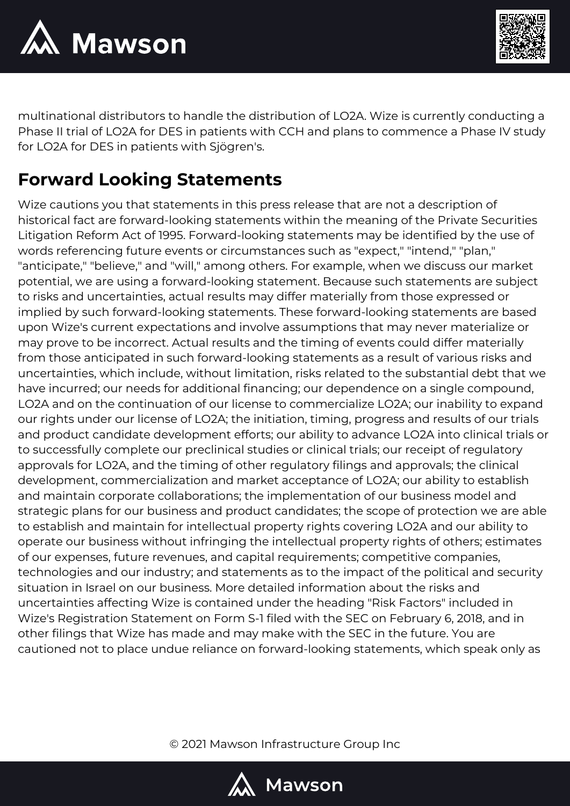



multinational distributors to handle the distribution of LO2A. Wize is currently conducting a Phase II trial of LO2A for DES in patients with CCH and plans to commence a Phase IV study for LO2A for DES in patients with Sjögren's.

## **Forward Looking Statements**

Wize cautions you that statements in this press release that are not a description of historical fact are forward-looking statements within the meaning of the Private Securities Litigation Reform Act of 1995. Forward-looking statements may be identified by the use of words referencing future events or circumstances such as "expect," "intend," "plan," "anticipate," "believe," and "will," among others. For example, when we discuss our market potential, we are using a forward-looking statement. Because such statements are subject to risks and uncertainties, actual results may differ materially from those expressed or implied by such forward-looking statements. These forward-looking statements are based upon Wize's current expectations and involve assumptions that may never materialize or may prove to be incorrect. Actual results and the timing of events could differ materially from those anticipated in such forward-looking statements as a result of various risks and uncertainties, which include, without limitation, risks related to the substantial debt that we have incurred; our needs for additional financing; our dependence on a single compound, LO2A and on the continuation of our license to commercialize LO2A; our inability to expand our rights under our license of LO2A; the initiation, timing, progress and results of our trials and product candidate development efforts; our ability to advance LO2A into clinical trials or to successfully complete our preclinical studies or clinical trials; our receipt of regulatory approvals for LO2A, and the timing of other regulatory filings and approvals; the clinical development, commercialization and market acceptance of LO2A; our ability to establish and maintain corporate collaborations; the implementation of our business model and strategic plans for our business and product candidates; the scope of protection we are able to establish and maintain for intellectual property rights covering LO2A and our ability to operate our business without infringing the intellectual property rights of others; estimates of our expenses, future revenues, and capital requirements; competitive companies, technologies and our industry; and statements as to the impact of the political and security situation in Israel on our business. More detailed information about the risks and uncertainties affecting Wize is contained under the heading "Risk Factors" included in Wize's Registration Statement on Form S-1 filed with the SEC on February 6, 2018, and in other filings that Wize has made and may make with the SEC in the future. You are cautioned not to place undue reliance on forward-looking statements, which speak only as

© 2021 Mawson Infrastructure Group Inc